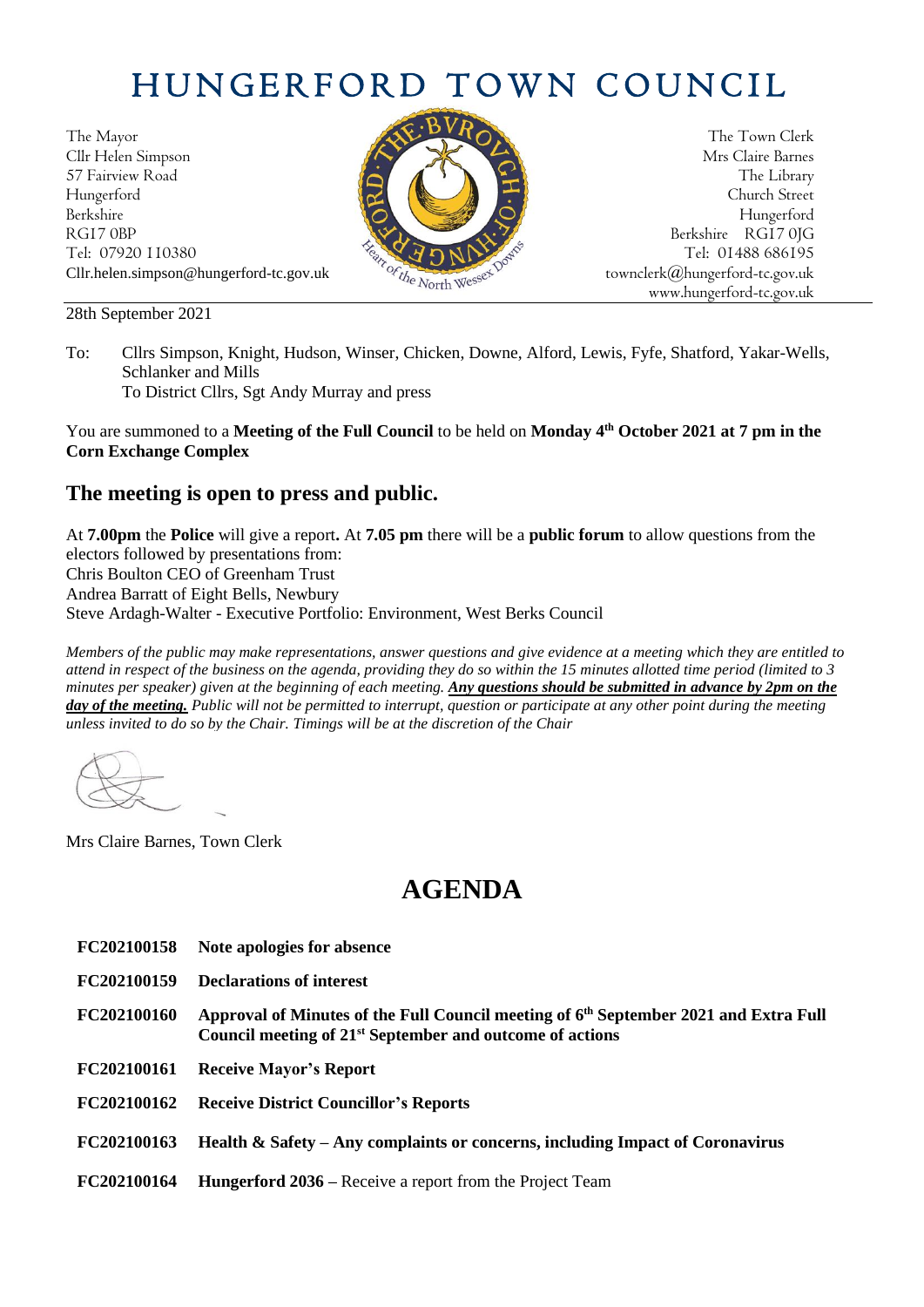## HUNGERFORD TOWN COUNCIL

The Mayor The Town Clerk Cllr Helen Simpson Mrs Claire Barnes 57 Fairview Road The Library (Contact of the Library Street Street (Contact of the Library Street Street Street Hungerford Church Street Berkshire Hungerford RG17 0BP Berkshire RG17 0JG Tel: 07920 110380 Tel: 07920 110380 Tel: 07920 110380 Tel: 07920 110380 Tel: 01488 686195 Cllr.helen.simpson@hungerford-tc.gov.uk [townclerk@hungerford-tc.gov.uk](mailto:townclerk@hungerford-tc.gov.uk)

28th September 2021



www.hungerford-tc.gov.uk

To: Cllrs Simpson, Knight, Hudson, Winser, Chicken, Downe, Alford, Lewis, Fyfe, Shatford, Yakar-Wells, Schlanker and Mills To District Cllrs, Sgt Andy Murray and press

You are summoned to a **Meeting of the Full Council** to be held on **Monday 4 th October 2021 at 7 pm in the Corn Exchange Complex**

## **The meeting is open to press and public.**

At **7.00pm** the **Police** will give a report**.** At **7.05 pm** there will be a **public forum** to allow questions from the electors followed by presentations from: Chris Boulton CEO of Greenham Trust Andrea Barratt of Eight Bells, Newbury

Steve Ardagh-Walter - Executive Portfolio: Environment, West Berks Council

*Members of the public may make representations, answer questions and give evidence at a meeting which they are entitled to attend in respect of the business on the agenda, providing they do so within the 15 minutes allotted time period (limited to 3 minutes per speaker) given at the beginning of each meeting. Any questions should be submitted in advance by 2pm on the day of the meeting. Public will not be permitted to interrupt, question or participate at any other point during the meeting unless invited to do so by the Chair. Timings will be at the discretion of the Chair*

Mrs Claire Barnes, Town Clerk

## **AGENDA**

- **FC202100158 Note apologies for absence**
- **FC202100159 Declarations of interest**
- **FC202100160 Approval of Minutes of the Full Council meeting of 6 th September 2021 and Extra Full Council meeting of 21st September and outcome of actions**
- **FC202100161 Receive Mayor's Report**
- **FC202100162 Receive District Councillor's Reports**
- **FC202100163 Health & Safety – Any complaints or concerns, including Impact of Coronavirus**
- **FC202100164 Hungerford 2036 –** Receive a report from the Project Team